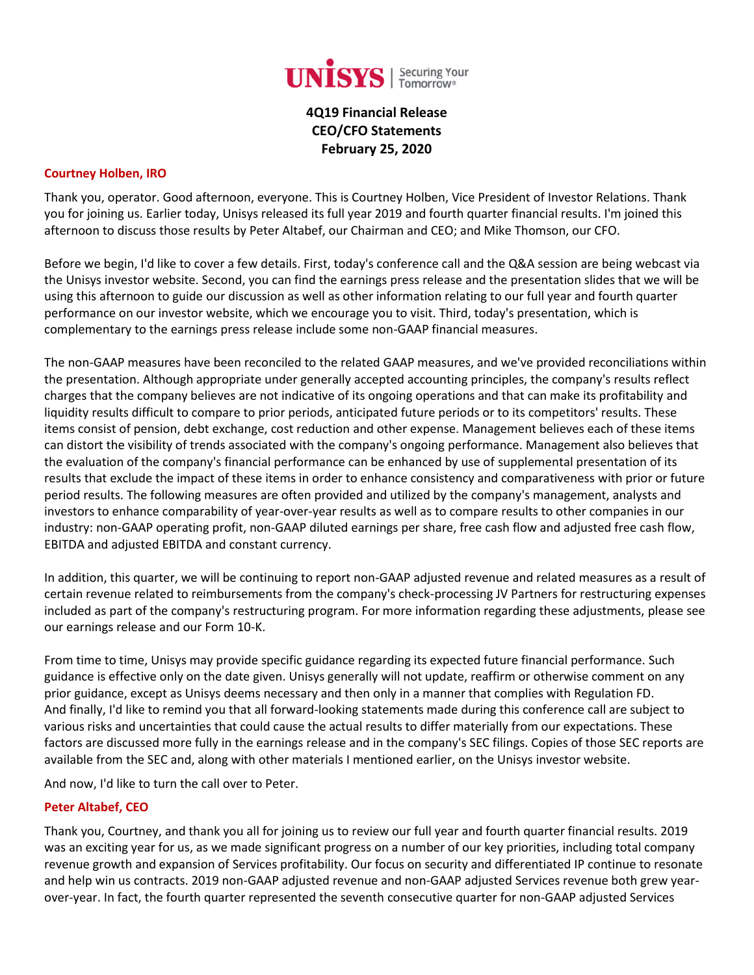

**4Q19 Financial Release CEO/CFO Statements February 25, 2020**

#### **Courtney Holben, IRO**

Thank you, operator. Good afternoon, everyone. This is Courtney Holben, Vice President of Investor Relations. Thank you for joining us. Earlier today, Unisys released its full year 2019 and fourth quarter financial results. I'm joined this afternoon to discuss those results by Peter Altabef, our Chairman and CEO; and Mike Thomson, our CFO.

Before we begin, I'd like to cover a few details. First, today's conference call and the Q&A session are being webcast via the Unisys investor website. Second, you can find the earnings press release and the presentation slides that we will be using this afternoon to guide our discussion as well as other information relating to our full year and fourth quarter performance on our investor website, which we encourage you to visit. Third, today's presentation, which is complementary to the earnings press release include some non-GAAP financial measures.

The non-GAAP measures have been reconciled to the related GAAP measures, and we've provided reconciliations within the presentation. Although appropriate under generally accepted accounting principles, the company's results reflect charges that the company believes are not indicative of its ongoing operations and that can make its profitability and liquidity results difficult to compare to prior periods, anticipated future periods or to its competitors' results. These items consist of pension, debt exchange, cost reduction and other expense. Management believes each of these items can distort the visibility of trends associated with the company's ongoing performance. Management also believes that the evaluation of the company's financial performance can be enhanced by use of supplemental presentation of its results that exclude the impact of these items in order to enhance consistency and comparativeness with prior or future period results. The following measures are often provided and utilized by the company's management, analysts and investors to enhance comparability of year-over-year results as well as to compare results to other companies in our industry: non-GAAP operating profit, non-GAAP diluted earnings per share, free cash flow and adjusted free cash flow, EBITDA and adjusted EBITDA and constant currency.

In addition, this quarter, we will be continuing to report non-GAAP adjusted revenue and related measures as a result of certain revenue related to reimbursements from the company's check-processing JV Partners for restructuring expenses included as part of the company's restructuring program. For more information regarding these adjustments, please see our earnings release and our Form 10-K.

From time to time, Unisys may provide specific guidance regarding its expected future financial performance. Such guidance is effective only on the date given. Unisys generally will not update, reaffirm or otherwise comment on any prior guidance, except as Unisys deems necessary and then only in a manner that complies with Regulation FD. And finally, I'd like to remind you that all forward-looking statements made during this conference call are subject to various risks and uncertainties that could cause the actual results to differ materially from our expectations. These factors are discussed more fully in the earnings release and in the company's SEC filings. Copies of those SEC reports are available from the SEC and, along with other materials I mentioned earlier, on the Unisys investor website.

And now, I'd like to turn the call over to Peter.

#### **Peter Altabef, CEO**

Thank you, Courtney, and thank you all for joining us to review our full year and fourth quarter financial results. 2019 was an exciting year for us, as we made significant progress on a number of our key priorities, including total company revenue growth and expansion of Services profitability. Our focus on security and differentiated IP continue to resonate and help win us contracts. 2019 non-GAAP adjusted revenue and non-GAAP adjusted Services revenue both grew yearover-year. In fact, the fourth quarter represented the seventh consecutive quarter for non-GAAP adjusted Services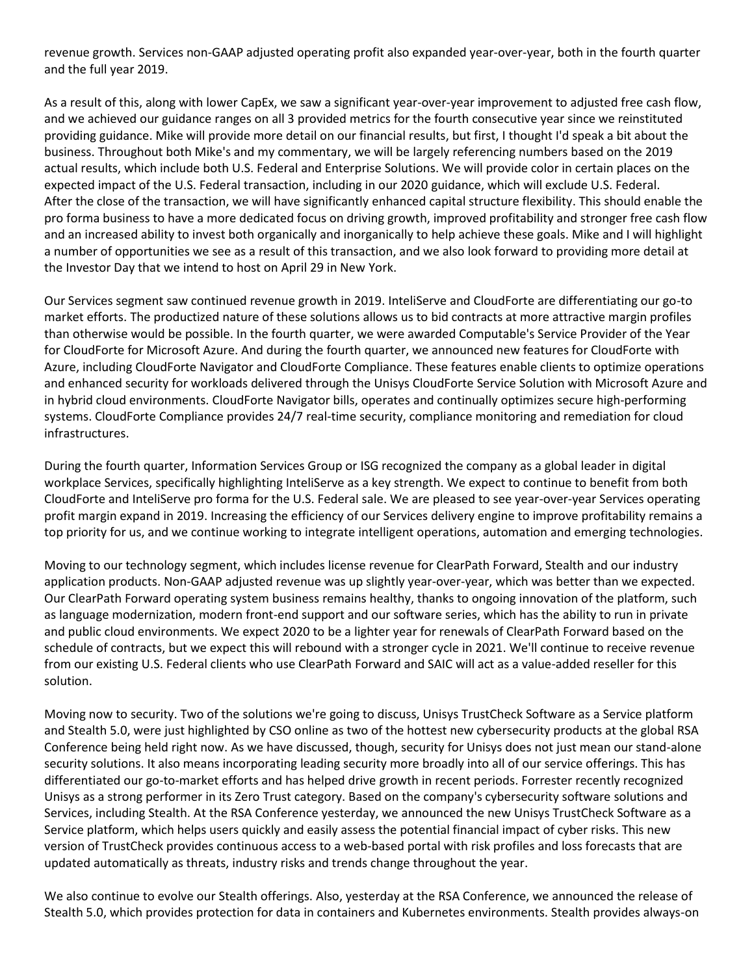revenue growth. Services non-GAAP adjusted operating profit also expanded year-over-year, both in the fourth quarter and the full year 2019.

As a result of this, along with lower CapEx, we saw a significant year-over-year improvement to adjusted free cash flow, and we achieved our guidance ranges on all 3 provided metrics for the fourth consecutive year since we reinstituted providing guidance. Mike will provide more detail on our financial results, but first, I thought I'd speak a bit about the business. Throughout both Mike's and my commentary, we will be largely referencing numbers based on the 2019 actual results, which include both U.S. Federal and Enterprise Solutions. We will provide color in certain places on the expected impact of the U.S. Federal transaction, including in our 2020 guidance, which will exclude U.S. Federal. After the close of the transaction, we will have significantly enhanced capital structure flexibility. This should enable the pro forma business to have a more dedicated focus on driving growth, improved profitability and stronger free cash flow and an increased ability to invest both organically and inorganically to help achieve these goals. Mike and I will highlight a number of opportunities we see as a result of this transaction, and we also look forward to providing more detail at the Investor Day that we intend to host on April 29 in New York.

Our Services segment saw continued revenue growth in 2019. InteliServe and CloudForte are differentiating our go-to market efforts. The productized nature of these solutions allows us to bid contracts at more attractive margin profiles than otherwise would be possible. In the fourth quarter, we were awarded Computable's Service Provider of the Year for CloudForte for Microsoft Azure. And during the fourth quarter, we announced new features for CloudForte with Azure, including CloudForte Navigator and CloudForte Compliance. These features enable clients to optimize operations and enhanced security for workloads delivered through the Unisys CloudForte Service Solution with Microsoft Azure and in hybrid cloud environments. CloudForte Navigator bills, operates and continually optimizes secure high-performing systems. CloudForte Compliance provides 24/7 real-time security, compliance monitoring and remediation for cloud infrastructures.

During the fourth quarter, Information Services Group or ISG recognized the company as a global leader in digital workplace Services, specifically highlighting InteliServe as a key strength. We expect to continue to benefit from both CloudForte and InteliServe pro forma for the U.S. Federal sale. We are pleased to see year-over-year Services operating profit margin expand in 2019. Increasing the efficiency of our Services delivery engine to improve profitability remains a top priority for us, and we continue working to integrate intelligent operations, automation and emerging technologies.

Moving to our technology segment, which includes license revenue for ClearPath Forward, Stealth and our industry application products. Non-GAAP adjusted revenue was up slightly year-over-year, which was better than we expected. Our ClearPath Forward operating system business remains healthy, thanks to ongoing innovation of the platform, such as language modernization, modern front-end support and our software series, which has the ability to run in private and public cloud environments. We expect 2020 to be a lighter year for renewals of ClearPath Forward based on the schedule of contracts, but we expect this will rebound with a stronger cycle in 2021. We'll continue to receive revenue from our existing U.S. Federal clients who use ClearPath Forward and SAIC will act as a value-added reseller for this solution.

Moving now to security. Two of the solutions we're going to discuss, Unisys TrustCheck Software as a Service platform and Stealth 5.0, were just highlighted by CSO online as two of the hottest new cybersecurity products at the global RSA Conference being held right now. As we have discussed, though, security for Unisys does not just mean our stand-alone security solutions. It also means incorporating leading security more broadly into all of our service offerings. This has differentiated our go-to-market efforts and has helped drive growth in recent periods. Forrester recently recognized Unisys as a strong performer in its Zero Trust category. Based on the company's cybersecurity software solutions and Services, including Stealth. At the RSA Conference yesterday, we announced the new Unisys TrustCheck Software as a Service platform, which helps users quickly and easily assess the potential financial impact of cyber risks. This new version of TrustCheck provides continuous access to a web-based portal with risk profiles and loss forecasts that are updated automatically as threats, industry risks and trends change throughout the year.

We also continue to evolve our Stealth offerings. Also, yesterday at the RSA Conference, we announced the release of Stealth 5.0, which provides protection for data in containers and Kubernetes environments. Stealth provides always-on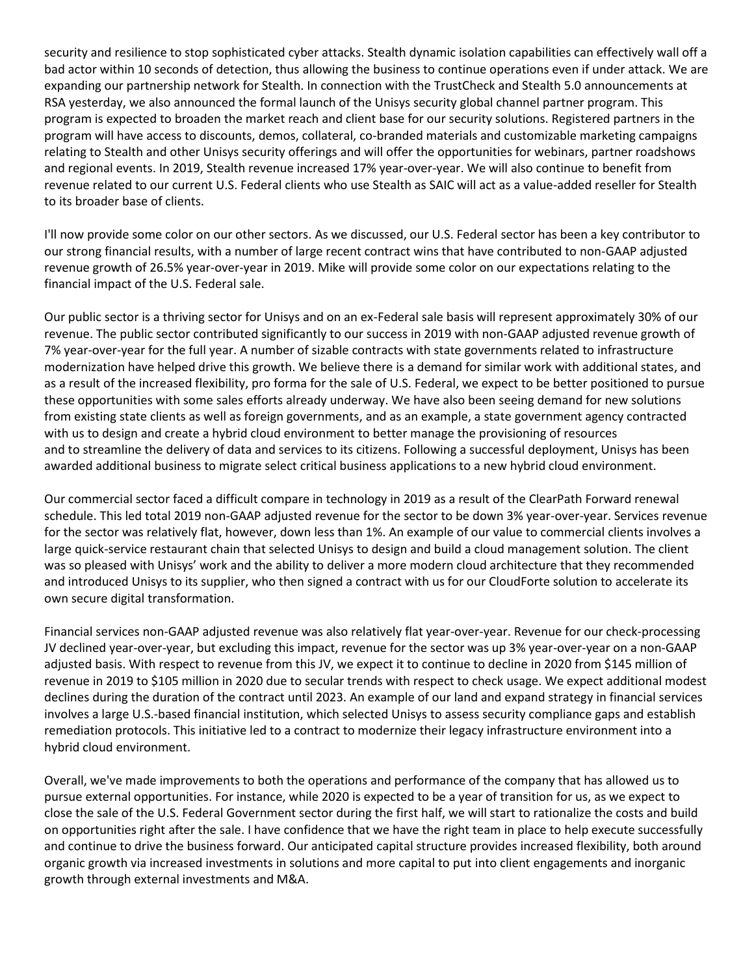security and resilience to stop sophisticated cyber attacks. Stealth dynamic isolation capabilities can effectively wall off a bad actor within 10 seconds of detection, thus allowing the business to continue operations even if under attack. We are expanding our partnership network for Stealth. In connection with the TrustCheck and Stealth 5.0 announcements at RSA yesterday, we also announced the formal launch of the Unisys security global channel partner program. This program is expected to broaden the market reach and client base for our security solutions. Registered partners in the program will have access to discounts, demos, collateral, co-branded materials and customizable marketing campaigns relating to Stealth and other Unisys security offerings and will offer the opportunities for webinars, partner roadshows and regional events. In 2019, Stealth revenue increased 17% year-over-year. We will also continue to benefit from revenue related to our current U.S. Federal clients who use Stealth as SAIC will act as a value-added reseller for Stealth to its broader base of clients.

I'll now provide some color on our other sectors. As we discussed, our U.S. Federal sector has been a key contributor to our strong financial results, with a number of large recent contract wins that have contributed to non-GAAP adjusted revenue growth of 26.5% year-over-year in 2019. Mike will provide some color on our expectations relating to the financial impact of the U.S. Federal sale.

Our public sector is a thriving sector for Unisys and on an ex-Federal sale basis will represent approximately 30% of our revenue. The public sector contributed significantly to our success in 2019 with non-GAAP adjusted revenue growth of 7% year-over-year for the full year. A number of sizable contracts with state governments related to infrastructure modernization have helped drive this growth. We believe there is a demand for similar work with additional states, and as a result of the increased flexibility, pro forma for the sale of U.S. Federal, we expect to be better positioned to pursue these opportunities with some sales efforts already underway. We have also been seeing demand for new solutions from existing state clients as well as foreign governments, and as an example, a state government agency contracted with us to design and create a hybrid cloud environment to better manage the provisioning of resources and to streamline the delivery of data and services to its citizens. Following a successful deployment, Unisys has been awarded additional business to migrate select critical business applications to a new hybrid cloud environment.

Our commercial sector faced a difficult compare in technology in 2019 as a result of the ClearPath Forward renewal schedule. This led total 2019 non-GAAP adjusted revenue for the sector to be down 3% year-over-year. Services revenue for the sector was relatively flat, however, down less than 1%. An example of our value to commercial clients involves a large quick-service restaurant chain that selected Unisys to design and build a cloud management solution. The client was so pleased with Unisys' work and the ability to deliver a more modern cloud architecture that they recommended and introduced Unisys to its supplier, who then signed a contract with us for our CloudForte solution to accelerate its own secure digital transformation.

Financial services non-GAAP adjusted revenue was also relatively flat year-over-year. Revenue for our check-processing JV declined year-over-year, but excluding this impact, revenue for the sector was up 3% year-over-year on a non-GAAP adjusted basis. With respect to revenue from this JV, we expect it to continue to decline in 2020 from \$145 million of revenue in 2019 to \$105 million in 2020 due to secular trends with respect to check usage. We expect additional modest declines during the duration of the contract until 2023. An example of our land and expand strategy in financial services involves a large U.S.-based financial institution, which selected Unisys to assess security compliance gaps and establish remediation protocols. This initiative led to a contract to modernize their legacy infrastructure environment into a hybrid cloud environment.

Overall, we've made improvements to both the operations and performance of the company that has allowed us to pursue external opportunities. For instance, while 2020 is expected to be a year of transition for us, as we expect to close the sale of the U.S. Federal Government sector during the first half, we will start to rationalize the costs and build on opportunities right after the sale. I have confidence that we have the right team in place to help execute successfully and continue to drive the business forward. Our anticipated capital structure provides increased flexibility, both around organic growth via increased investments in solutions and more capital to put into client engagements and inorganic growth through external investments and M&A.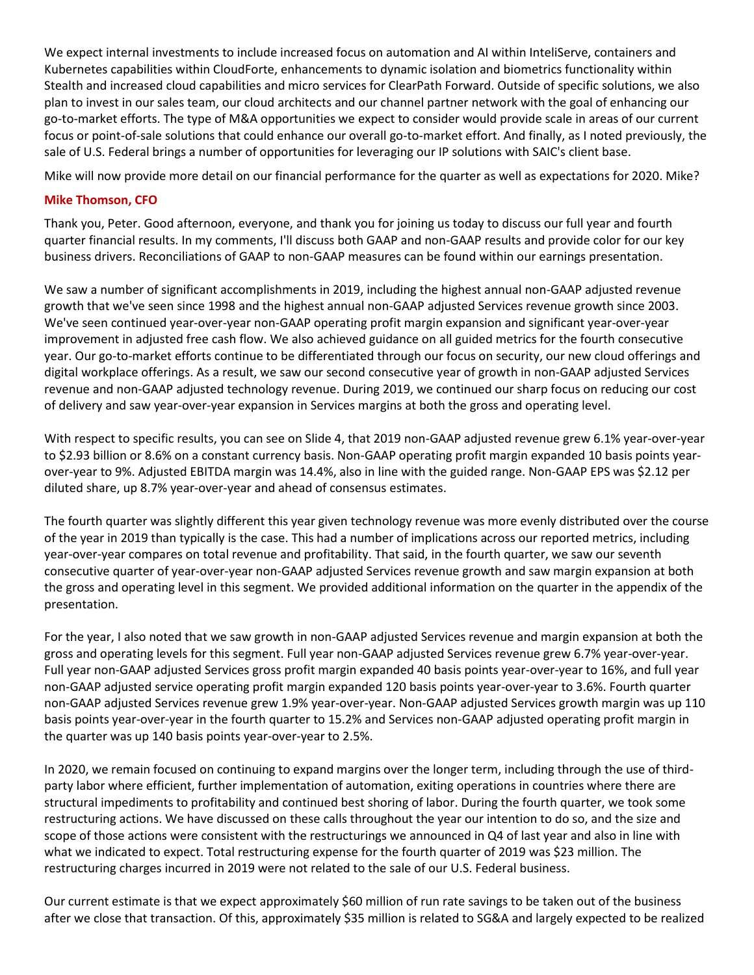We expect internal investments to include increased focus on automation and AI within InteliServe, containers and Kubernetes capabilities within CloudForte, enhancements to dynamic isolation and biometrics functionality within Stealth and increased cloud capabilities and micro services for ClearPath Forward. Outside of specific solutions, we also plan to invest in our sales team, our cloud architects and our channel partner network with the goal of enhancing our go-to-market efforts. The type of M&A opportunities we expect to consider would provide scale in areas of our current focus or point-of-sale solutions that could enhance our overall go-to-market effort. And finally, as I noted previously, the sale of U.S. Federal brings a number of opportunities for leveraging our IP solutions with SAIC's client base.

Mike will now provide more detail on our financial performance for the quarter as well as expectations for 2020. Mike?

### **Mike Thomson, CFO**

Thank you, Peter. Good afternoon, everyone, and thank you for joining us today to discuss our full year and fourth quarter financial results. In my comments, I'll discuss both GAAP and non-GAAP results and provide color for our key business drivers. Reconciliations of GAAP to non-GAAP measures can be found within our earnings presentation.

We saw a number of significant accomplishments in 2019, including the highest annual non-GAAP adjusted revenue growth that we've seen since 1998 and the highest annual non-GAAP adjusted Services revenue growth since 2003. We've seen continued year-over-year non-GAAP operating profit margin expansion and significant year-over-year improvement in adjusted free cash flow. We also achieved guidance on all guided metrics for the fourth consecutive year. Our go-to-market efforts continue to be differentiated through our focus on security, our new cloud offerings and digital workplace offerings. As a result, we saw our second consecutive year of growth in non-GAAP adjusted Services revenue and non-GAAP adjusted technology revenue. During 2019, we continued our sharp focus on reducing our cost of delivery and saw year-over-year expansion in Services margins at both the gross and operating level.

With respect to specific results, you can see on Slide 4, that 2019 non-GAAP adjusted revenue grew 6.1% year-over-year to \$2.93 billion or 8.6% on a constant currency basis. Non-GAAP operating profit margin expanded 10 basis points yearover-year to 9%. Adjusted EBITDA margin was 14.4%, also in line with the guided range. Non-GAAP EPS was \$2.12 per diluted share, up 8.7% year-over-year and ahead of consensus estimates.

The fourth quarter was slightly different this year given technology revenue was more evenly distributed over the course of the year in 2019 than typically is the case. This had a number of implications across our reported metrics, including year-over-year compares on total revenue and profitability. That said, in the fourth quarter, we saw our seventh consecutive quarter of year-over-year non-GAAP adjusted Services revenue growth and saw margin expansion at both the gross and operating level in this segment. We provided additional information on the quarter in the appendix of the presentation.

For the year, I also noted that we saw growth in non-GAAP adjusted Services revenue and margin expansion at both the gross and operating levels for this segment. Full year non-GAAP adjusted Services revenue grew 6.7% year-over-year. Full year non-GAAP adjusted Services gross profit margin expanded 40 basis points year-over-year to 16%, and full year non-GAAP adjusted service operating profit margin expanded 120 basis points year-over-year to 3.6%. Fourth quarter non-GAAP adjusted Services revenue grew 1.9% year-over-year. Non-GAAP adjusted Services growth margin was up 110 basis points year-over-year in the fourth quarter to 15.2% and Services non-GAAP adjusted operating profit margin in the quarter was up 140 basis points year-over-year to 2.5%.

In 2020, we remain focused on continuing to expand margins over the longer term, including through the use of thirdparty labor where efficient, further implementation of automation, exiting operations in countries where there are structural impediments to profitability and continued best shoring of labor. During the fourth quarter, we took some restructuring actions. We have discussed on these calls throughout the year our intention to do so, and the size and scope of those actions were consistent with the restructurings we announced in Q4 of last year and also in line with what we indicated to expect. Total restructuring expense for the fourth quarter of 2019 was \$23 million. The restructuring charges incurred in 2019 were not related to the sale of our U.S. Federal business.

Our current estimate is that we expect approximately \$60 million of run rate savings to be taken out of the business after we close that transaction. Of this, approximately \$35 million is related to SG&A and largely expected to be realized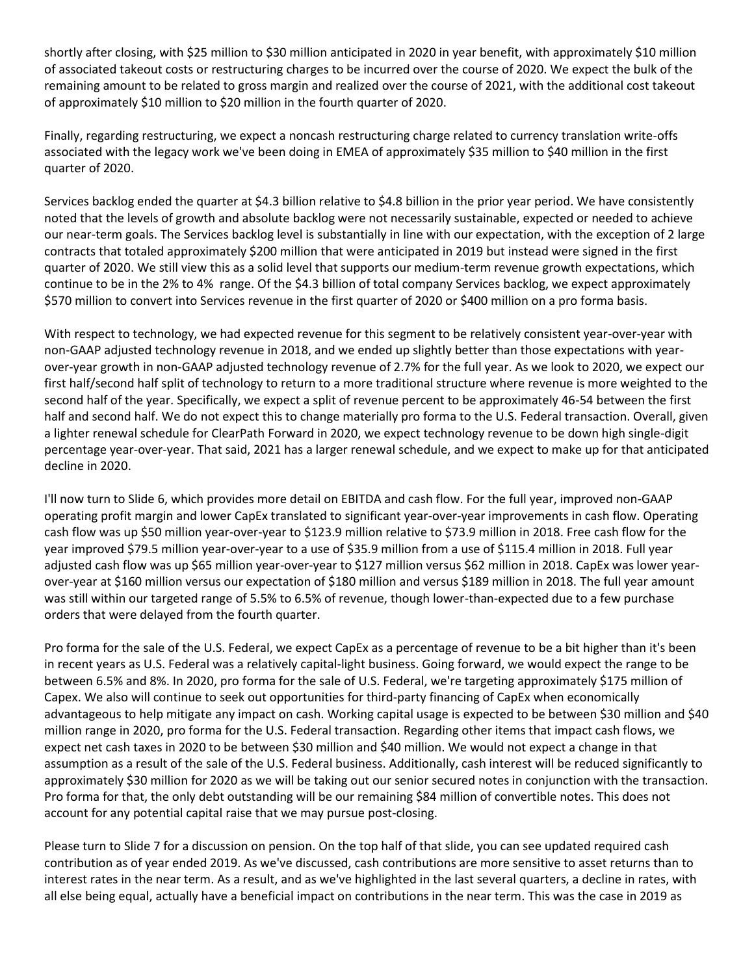shortly after closing, with \$25 million to \$30 million anticipated in 2020 in year benefit, with approximately \$10 million of associated takeout costs or restructuring charges to be incurred over the course of 2020. We expect the bulk of the remaining amount to be related to gross margin and realized over the course of 2021, with the additional cost takeout of approximately \$10 million to \$20 million in the fourth quarter of 2020.

Finally, regarding restructuring, we expect a noncash restructuring charge related to currency translation write-offs associated with the legacy work we've been doing in EMEA of approximately \$35 million to \$40 million in the first quarter of 2020.

Services backlog ended the quarter at \$4.3 billion relative to \$4.8 billion in the prior year period. We have consistently noted that the levels of growth and absolute backlog were not necessarily sustainable, expected or needed to achieve our near-term goals. The Services backlog level is substantially in line with our expectation, with the exception of 2 large contracts that totaled approximately \$200 million that were anticipated in 2019 but instead were signed in the first quarter of 2020. We still view this as a solid level that supports our medium-term revenue growth expectations, which continue to be in the 2% to 4% range. Of the \$4.3 billion of total company Services backlog, we expect approximately \$570 million to convert into Services revenue in the first quarter of 2020 or \$400 million on a pro forma basis.

With respect to technology, we had expected revenue for this segment to be relatively consistent year-over-year with non-GAAP adjusted technology revenue in 2018, and we ended up slightly better than those expectations with yearover-year growth in non-GAAP adjusted technology revenue of 2.7% for the full year. As we look to 2020, we expect our first half/second half split of technology to return to a more traditional structure where revenue is more weighted to the second half of the year. Specifically, we expect a split of revenue percent to be approximately 46-54 between the first half and second half. We do not expect this to change materially pro forma to the U.S. Federal transaction. Overall, given a lighter renewal schedule for ClearPath Forward in 2020, we expect technology revenue to be down high single-digit percentage year-over-year. That said, 2021 has a larger renewal schedule, and we expect to make up for that anticipated decline in 2020.

I'll now turn to Slide 6, which provides more detail on EBITDA and cash flow. For the full year, improved non-GAAP operating profit margin and lower CapEx translated to significant year-over-year improvements in cash flow. Operating cash flow was up \$50 million year-over-year to \$123.9 million relative to \$73.9 million in 2018. Free cash flow for the year improved \$79.5 million year-over-year to a use of \$35.9 million from a use of \$115.4 million in 2018. Full year adjusted cash flow was up \$65 million year-over-year to \$127 million versus \$62 million in 2018. CapEx was lower yearover-year at \$160 million versus our expectation of \$180 million and versus \$189 million in 2018. The full year amount was still within our targeted range of 5.5% to 6.5% of revenue, though lower-than-expected due to a few purchase orders that were delayed from the fourth quarter.

Pro forma for the sale of the U.S. Federal, we expect CapEx as a percentage of revenue to be a bit higher than it's been in recent years as U.S. Federal was a relatively capital-light business. Going forward, we would expect the range to be between 6.5% and 8%. In 2020, pro forma for the sale of U.S. Federal, we're targeting approximately \$175 million of Capex. We also will continue to seek out opportunities for third-party financing of CapEx when economically advantageous to help mitigate any impact on cash. Working capital usage is expected to be between \$30 million and \$40 million range in 2020, pro forma for the U.S. Federal transaction. Regarding other items that impact cash flows, we expect net cash taxes in 2020 to be between \$30 million and \$40 million. We would not expect a change in that assumption as a result of the sale of the U.S. Federal business. Additionally, cash interest will be reduced significantly to approximately \$30 million for 2020 as we will be taking out our senior secured notes in conjunction with the transaction. Pro forma for that, the only debt outstanding will be our remaining \$84 million of convertible notes. This does not account for any potential capital raise that we may pursue post-closing.

Please turn to Slide 7 for a discussion on pension. On the top half of that slide, you can see updated required cash contribution as of year ended 2019. As we've discussed, cash contributions are more sensitive to asset returns than to interest rates in the near term. As a result, and as we've highlighted in the last several quarters, a decline in rates, with all else being equal, actually have a beneficial impact on contributions in the near term. This was the case in 2019 as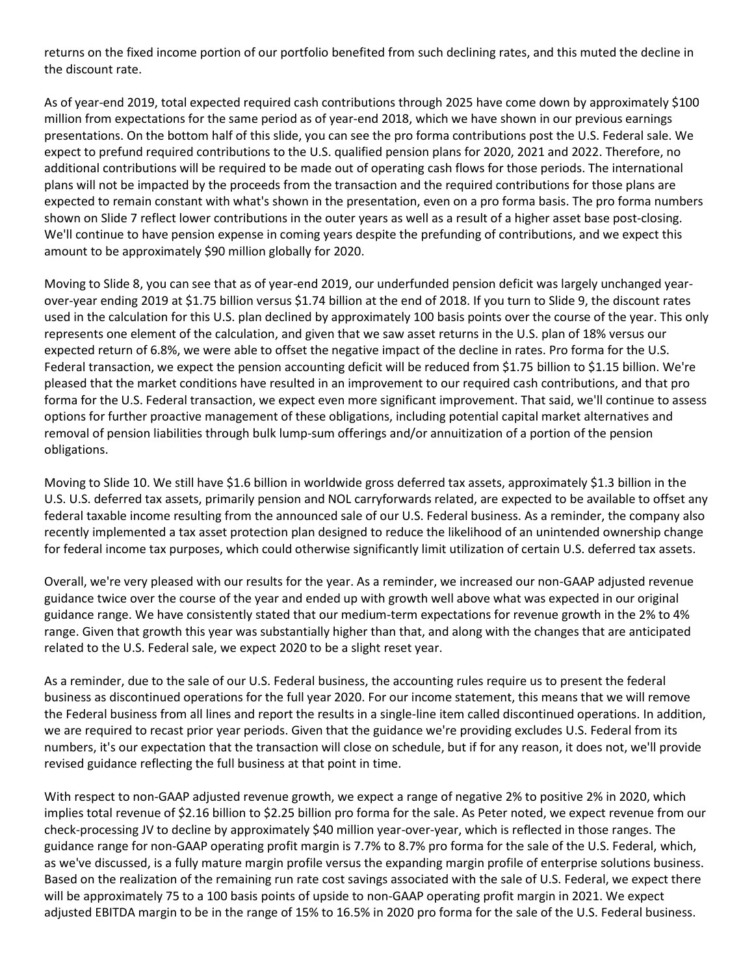returns on the fixed income portion of our portfolio benefited from such declining rates, and this muted the decline in the discount rate.

As of year-end 2019, total expected required cash contributions through 2025 have come down by approximately \$100 million from expectations for the same period as of year-end 2018, which we have shown in our previous earnings presentations. On the bottom half of this slide, you can see the pro forma contributions post the U.S. Federal sale. We expect to prefund required contributions to the U.S. qualified pension plans for 2020, 2021 and 2022. Therefore, no additional contributions will be required to be made out of operating cash flows for those periods. The international plans will not be impacted by the proceeds from the transaction and the required contributions for those plans are expected to remain constant with what's shown in the presentation, even on a pro forma basis. The pro forma numbers shown on Slide 7 reflect lower contributions in the outer years as well as a result of a higher asset base post-closing. We'll continue to have pension expense in coming years despite the prefunding of contributions, and we expect this amount to be approximately \$90 million globally for 2020.

Moving to Slide 8, you can see that as of year-end 2019, our underfunded pension deficit was largely unchanged yearover-year ending 2019 at \$1.75 billion versus \$1.74 billion at the end of 2018. If you turn to Slide 9, the discount rates used in the calculation for this U.S. plan declined by approximately 100 basis points over the course of the year. This only represents one element of the calculation, and given that we saw asset returns in the U.S. plan of 18% versus our expected return of 6.8%, we were able to offset the negative impact of the decline in rates. Pro forma for the U.S. Federal transaction, we expect the pension accounting deficit will be reduced from \$1.75 billion to \$1.15 billion. We're pleased that the market conditions have resulted in an improvement to our required cash contributions, and that pro forma for the U.S. Federal transaction, we expect even more significant improvement. That said, we'll continue to assess options for further proactive management of these obligations, including potential capital market alternatives and removal of pension liabilities through bulk lump-sum offerings and/or annuitization of a portion of the pension obligations.

Moving to Slide 10. We still have \$1.6 billion in worldwide gross deferred tax assets, approximately \$1.3 billion in the U.S. U.S. deferred tax assets, primarily pension and NOL carryforwards related, are expected to be available to offset any federal taxable income resulting from the announced sale of our U.S. Federal business. As a reminder, the company also recently implemented a tax asset protection plan designed to reduce the likelihood of an unintended ownership change for federal income tax purposes, which could otherwise significantly limit utilization of certain U.S. deferred tax assets.

Overall, we're very pleased with our results for the year. As a reminder, we increased our non-GAAP adjusted revenue guidance twice over the course of the year and ended up with growth well above what was expected in our original guidance range. We have consistently stated that our medium-term expectations for revenue growth in the 2% to 4% range. Given that growth this year was substantially higher than that, and along with the changes that are anticipated related to the U.S. Federal sale, we expect 2020 to be a slight reset year.

As a reminder, due to the sale of our U.S. Federal business, the accounting rules require us to present the federal business as discontinued operations for the full year 2020. For our income statement, this means that we will remove the Federal business from all lines and report the results in a single-line item called discontinued operations. In addition, we are required to recast prior year periods. Given that the guidance we're providing excludes U.S. Federal from its numbers, it's our expectation that the transaction will close on schedule, but if for any reason, it does not, we'll provide revised guidance reflecting the full business at that point in time.

With respect to non-GAAP adjusted revenue growth, we expect a range of negative 2% to positive 2% in 2020, which implies total revenue of \$2.16 billion to \$2.25 billion pro forma for the sale. As Peter noted, we expect revenue from our check-processing JV to decline by approximately \$40 million year-over-year, which is reflected in those ranges. The guidance range for non-GAAP operating profit margin is 7.7% to 8.7% pro forma for the sale of the U.S. Federal, which, as we've discussed, is a fully mature margin profile versus the expanding margin profile of enterprise solutions business. Based on the realization of the remaining run rate cost savings associated with the sale of U.S. Federal, we expect there will be approximately 75 to a 100 basis points of upside to non-GAAP operating profit margin in 2021. We expect adjusted EBITDA margin to be in the range of 15% to 16.5% in 2020 pro forma for the sale of the U.S. Federal business.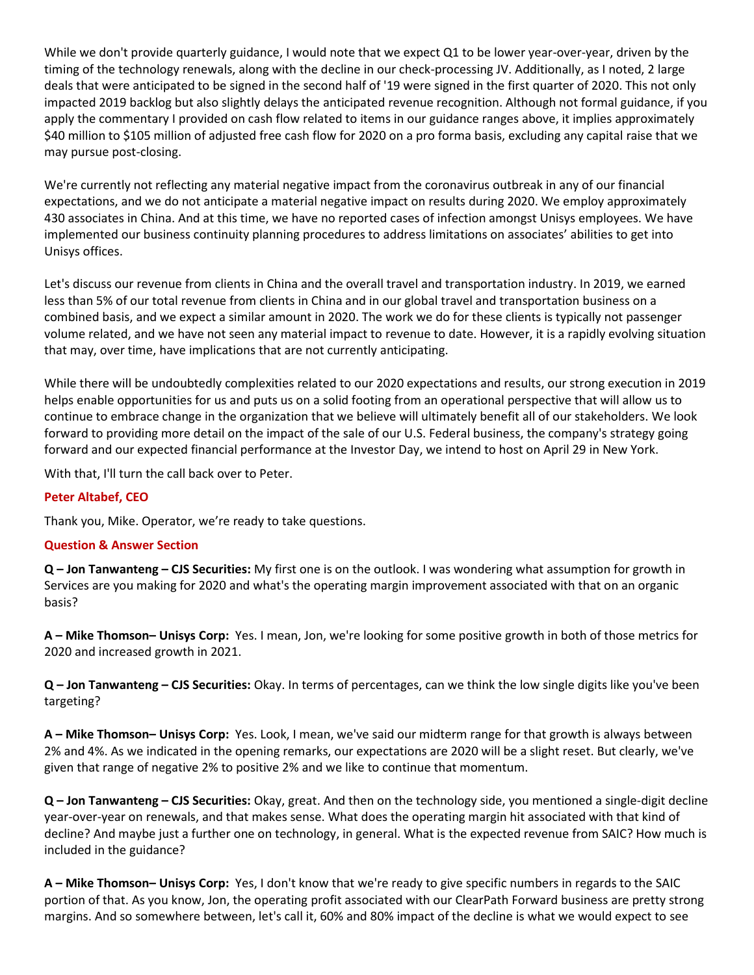While we don't provide quarterly guidance, I would note that we expect Q1 to be lower year-over-year, driven by the timing of the technology renewals, along with the decline in our check-processing JV. Additionally, as I noted, 2 large deals that were anticipated to be signed in the second half of '19 were signed in the first quarter of 2020. This not only impacted 2019 backlog but also slightly delays the anticipated revenue recognition. Although not formal guidance, if you apply the commentary I provided on cash flow related to items in our guidance ranges above, it implies approximately \$40 million to \$105 million of adjusted free cash flow for 2020 on a pro forma basis, excluding any capital raise that we may pursue post-closing.

We're currently not reflecting any material negative impact from the coronavirus outbreak in any of our financial expectations, and we do not anticipate a material negative impact on results during 2020. We employ approximately 430 associates in China. And at this time, we have no reported cases of infection amongst Unisys employees. We have implemented our business continuity planning procedures to address limitations on associates' abilities to get into Unisys offices.

Let's discuss our revenue from clients in China and the overall travel and transportation industry. In 2019, we earned less than 5% of our total revenue from clients in China and in our global travel and transportation business on a combined basis, and we expect a similar amount in 2020. The work we do for these clients is typically not passenger volume related, and we have not seen any material impact to revenue to date. However, it is a rapidly evolving situation that may, over time, have implications that are not currently anticipating.

While there will be undoubtedly complexities related to our 2020 expectations and results, our strong execution in 2019 helps enable opportunities for us and puts us on a solid footing from an operational perspective that will allow us to continue to embrace change in the organization that we believe will ultimately benefit all of our stakeholders. We look forward to providing more detail on the impact of the sale of our U.S. Federal business, the company's strategy going forward and our expected financial performance at the Investor Day, we intend to host on April 29 in New York.

With that, I'll turn the call back over to Peter.

# **Peter Altabef, CEO**

Thank you, Mike. Operator, we're ready to take questions.

#### **Question & Answer Section**

**Q – Jon Tanwanteng – CJS Securities:** My first one is on the outlook. I was wondering what assumption for growth in Services are you making for 2020 and what's the operating margin improvement associated with that on an organic basis?

**A – Mike Thomson– Unisys Corp:** Yes. I mean, Jon, we're looking for some positive growth in both of those metrics for 2020 and increased growth in 2021.

**Q – Jon Tanwanteng – CJS Securities:** Okay. In terms of percentages, can we think the low single digits like you've been targeting?

**A – Mike Thomson– Unisys Corp:** Yes. Look, I mean, we've said our midterm range for that growth is always between 2% and 4%. As we indicated in the opening remarks, our expectations are 2020 will be a slight reset. But clearly, we've given that range of negative 2% to positive 2% and we like to continue that momentum.

**Q – Jon Tanwanteng – CJS Securities:** Okay, great. And then on the technology side, you mentioned a single-digit decline year-over-year on renewals, and that makes sense. What does the operating margin hit associated with that kind of decline? And maybe just a further one on technology, in general. What is the expected revenue from SAIC? How much is included in the guidance?

**A – Mike Thomson– Unisys Corp:** Yes, I don't know that we're ready to give specific numbers in regards to the SAIC portion of that. As you know, Jon, the operating profit associated with our ClearPath Forward business are pretty strong margins. And so somewhere between, let's call it, 60% and 80% impact of the decline is what we would expect to see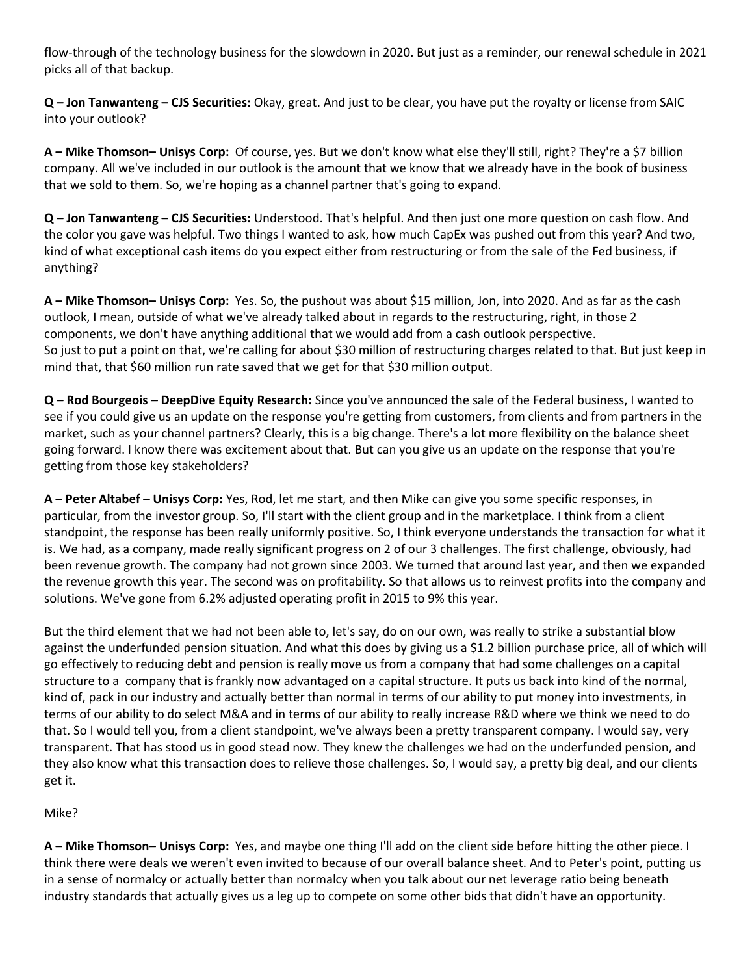flow-through of the technology business for the slowdown in 2020. But just as a reminder, our renewal schedule in 2021 picks all of that backup.

**Q – Jon Tanwanteng – CJS Securities:** Okay, great. And just to be clear, you have put the royalty or license from SAIC into your outlook?

**A – Mike Thomson– Unisys Corp:** Of course, yes. But we don't know what else they'll still, right? They're a \$7 billion company. All we've included in our outlook is the amount that we know that we already have in the book of business that we sold to them. So, we're hoping as a channel partner that's going to expand.

**Q – Jon Tanwanteng – CJS Securities:** Understood. That's helpful. And then just one more question on cash flow. And the color you gave was helpful. Two things I wanted to ask, how much CapEx was pushed out from this year? And two, kind of what exceptional cash items do you expect either from restructuring or from the sale of the Fed business, if anything?

**A – Mike Thomson– Unisys Corp:** Yes. So, the pushout was about \$15 million, Jon, into 2020. And as far as the cash outlook, I mean, outside of what we've already talked about in regards to the restructuring, right, in those 2 components, we don't have anything additional that we would add from a cash outlook perspective. So just to put a point on that, we're calling for about \$30 million of restructuring charges related to that. But just keep in mind that, that \$60 million run rate saved that we get for that \$30 million output.

**Q – Rod Bourgeois – DeepDive Equity Research:** Since you've announced the sale of the Federal business, I wanted to see if you could give us an update on the response you're getting from customers, from clients and from partners in the market, such as your channel partners? Clearly, this is a big change. There's a lot more flexibility on the balance sheet going forward. I know there was excitement about that. But can you give us an update on the response that you're getting from those key stakeholders?

**A – Peter Altabef – Unisys Corp:** Yes, Rod, let me start, and then Mike can give you some specific responses, in particular, from the investor group. So, I'll start with the client group and in the marketplace. I think from a client standpoint, the response has been really uniformly positive. So, I think everyone understands the transaction for what it is. We had, as a company, made really significant progress on 2 of our 3 challenges. The first challenge, obviously, had been revenue growth. The company had not grown since 2003. We turned that around last year, and then we expanded the revenue growth this year. The second was on profitability. So that allows us to reinvest profits into the company and solutions. We've gone from 6.2% adjusted operating profit in 2015 to 9% this year.

But the third element that we had not been able to, let's say, do on our own, was really to strike a substantial blow against the underfunded pension situation. And what this does by giving us a \$1.2 billion purchase price, all of which will go effectively to reducing debt and pension is really move us from a company that had some challenges on a capital structure to a company that is frankly now advantaged on a capital structure. It puts us back into kind of the normal, kind of, pack in our industry and actually better than normal in terms of our ability to put money into investments, in terms of our ability to do select M&A and in terms of our ability to really increase R&D where we think we need to do that. So I would tell you, from a client standpoint, we've always been a pretty transparent company. I would say, very transparent. That has stood us in good stead now. They knew the challenges we had on the underfunded pension, and they also know what this transaction does to relieve those challenges. So, I would say, a pretty big deal, and our clients get it.

Mike?

**A – Mike Thomson– Unisys Corp:** Yes, and maybe one thing I'll add on the client side before hitting the other piece. I think there were deals we weren't even invited to because of our overall balance sheet. And to Peter's point, putting us in a sense of normalcy or actually better than normalcy when you talk about our net leverage ratio being beneath industry standards that actually gives us a leg up to compete on some other bids that didn't have an opportunity.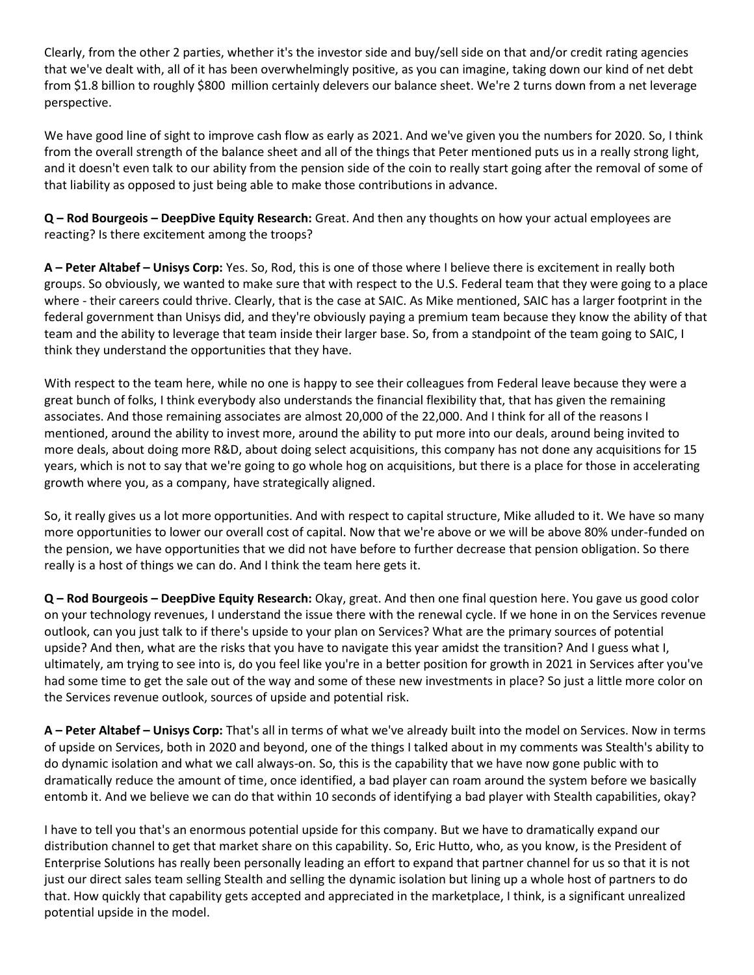Clearly, from the other 2 parties, whether it's the investor side and buy/sell side on that and/or credit rating agencies that we've dealt with, all of it has been overwhelmingly positive, as you can imagine, taking down our kind of net debt from \$1.8 billion to roughly \$800 million certainly delevers our balance sheet. We're 2 turns down from a net leverage perspective.

We have good line of sight to improve cash flow as early as 2021. And we've given you the numbers for 2020. So, I think from the overall strength of the balance sheet and all of the things that Peter mentioned puts us in a really strong light, and it doesn't even talk to our ability from the pension side of the coin to really start going after the removal of some of that liability as opposed to just being able to make those contributions in advance.

**Q – Rod Bourgeois – DeepDive Equity Research:** Great. And then any thoughts on how your actual employees are reacting? Is there excitement among the troops?

**A – Peter Altabef – Unisys Corp:** Yes. So, Rod, this is one of those where I believe there is excitement in really both groups. So obviously, we wanted to make sure that with respect to the U.S. Federal team that they were going to a place where - their careers could thrive. Clearly, that is the case at SAIC. As Mike mentioned, SAIC has a larger footprint in the federal government than Unisys did, and they're obviously paying a premium team because they know the ability of that team and the ability to leverage that team inside their larger base. So, from a standpoint of the team going to SAIC, I think they understand the opportunities that they have.

With respect to the team here, while no one is happy to see their colleagues from Federal leave because they were a great bunch of folks, I think everybody also understands the financial flexibility that, that has given the remaining associates. And those remaining associates are almost 20,000 of the 22,000. And I think for all of the reasons I mentioned, around the ability to invest more, around the ability to put more into our deals, around being invited to more deals, about doing more R&D, about doing select acquisitions, this company has not done any acquisitions for 15 years, which is not to say that we're going to go whole hog on acquisitions, but there is a place for those in accelerating growth where you, as a company, have strategically aligned.

So, it really gives us a lot more opportunities. And with respect to capital structure, Mike alluded to it. We have so many more opportunities to lower our overall cost of capital. Now that we're above or we will be above 80% under-funded on the pension, we have opportunities that we did not have before to further decrease that pension obligation. So there really is a host of things we can do. And I think the team here gets it.

**Q – Rod Bourgeois – DeepDive Equity Research:** Okay, great. And then one final question here. You gave us good color on your technology revenues, I understand the issue there with the renewal cycle. If we hone in on the Services revenue outlook, can you just talk to if there's upside to your plan on Services? What are the primary sources of potential upside? And then, what are the risks that you have to navigate this year amidst the transition? And I guess what I, ultimately, am trying to see into is, do you feel like you're in a better position for growth in 2021 in Services after you've had some time to get the sale out of the way and some of these new investments in place? So just a little more color on the Services revenue outlook, sources of upside and potential risk.

**A – Peter Altabef – Unisys Corp:** That's all in terms of what we've already built into the model on Services. Now in terms of upside on Services, both in 2020 and beyond, one of the things I talked about in my comments was Stealth's ability to do dynamic isolation and what we call always-on. So, this is the capability that we have now gone public with to dramatically reduce the amount of time, once identified, a bad player can roam around the system before we basically entomb it. And we believe we can do that within 10 seconds of identifying a bad player with Stealth capabilities, okay?

I have to tell you that's an enormous potential upside for this company. But we have to dramatically expand our distribution channel to get that market share on this capability. So, Eric Hutto, who, as you know, is the President of Enterprise Solutions has really been personally leading an effort to expand that partner channel for us so that it is not just our direct sales team selling Stealth and selling the dynamic isolation but lining up a whole host of partners to do that. How quickly that capability gets accepted and appreciated in the marketplace, I think, is a significant unrealized potential upside in the model.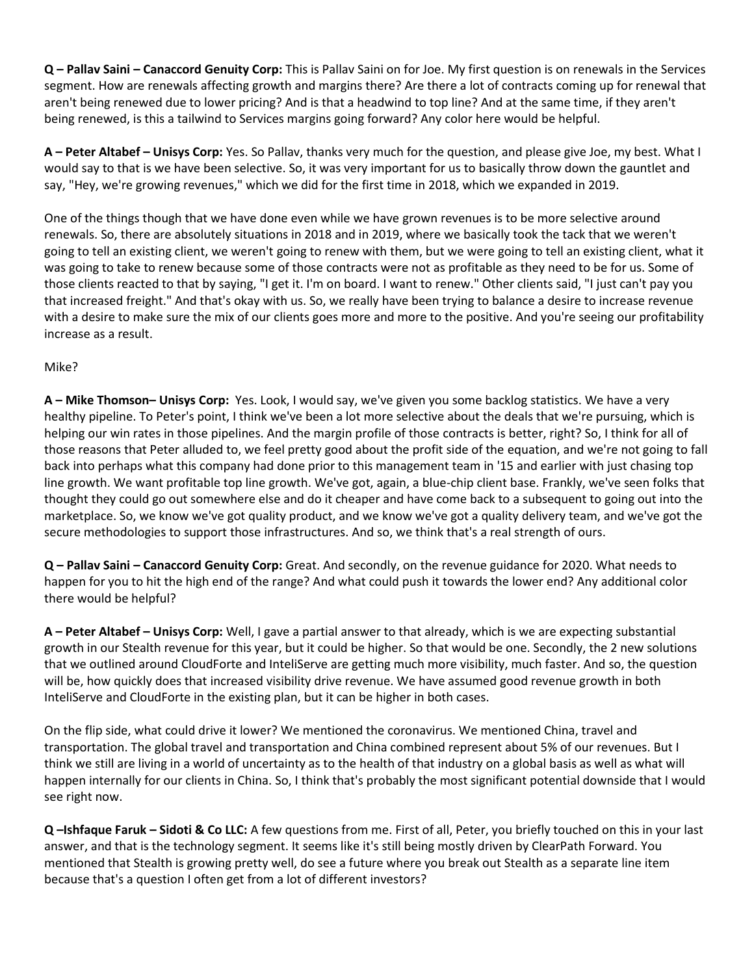**Q – Pallav Saini – Canaccord Genuity Corp:** This is Pallav Saini on for Joe. My first question is on renewals in the Services segment. How are renewals affecting growth and margins there? Are there a lot of contracts coming up for renewal that aren't being renewed due to lower pricing? And is that a headwind to top line? And at the same time, if they aren't being renewed, is this a tailwind to Services margins going forward? Any color here would be helpful.

**A – Peter Altabef – Unisys Corp:** Yes. So Pallav, thanks very much for the question, and please give Joe, my best. What I would say to that is we have been selective. So, it was very important for us to basically throw down the gauntlet and say, "Hey, we're growing revenues," which we did for the first time in 2018, which we expanded in 2019.

One of the things though that we have done even while we have grown revenues is to be more selective around renewals. So, there are absolutely situations in 2018 and in 2019, where we basically took the tack that we weren't going to tell an existing client, we weren't going to renew with them, but we were going to tell an existing client, what it was going to take to renew because some of those contracts were not as profitable as they need to be for us. Some of those clients reacted to that by saying, "I get it. I'm on board. I want to renew." Other clients said, "I just can't pay you that increased freight." And that's okay with us. So, we really have been trying to balance a desire to increase revenue with a desire to make sure the mix of our clients goes more and more to the positive. And you're seeing our profitability increase as a result.

### Mike?

**A – Mike Thomson– Unisys Corp:** Yes. Look, I would say, we've given you some backlog statistics. We have a very healthy pipeline. To Peter's point, I think we've been a lot more selective about the deals that we're pursuing, which is helping our win rates in those pipelines. And the margin profile of those contracts is better, right? So, I think for all of those reasons that Peter alluded to, we feel pretty good about the profit side of the equation, and we're not going to fall back into perhaps what this company had done prior to this management team in '15 and earlier with just chasing top line growth. We want profitable top line growth. We've got, again, a blue-chip client base. Frankly, we've seen folks that thought they could go out somewhere else and do it cheaper and have come back to a subsequent to going out into the marketplace. So, we know we've got quality product, and we know we've got a quality delivery team, and we've got the secure methodologies to support those infrastructures. And so, we think that's a real strength of ours.

**Q – Pallav Saini – Canaccord Genuity Corp:** Great. And secondly, on the revenue guidance for 2020. What needs to happen for you to hit the high end of the range? And what could push it towards the lower end? Any additional color there would be helpful?

**A – Peter Altabef – Unisys Corp:** Well, I gave a partial answer to that already, which is we are expecting substantial growth in our Stealth revenue for this year, but it could be higher. So that would be one. Secondly, the 2 new solutions that we outlined around CloudForte and InteliServe are getting much more visibility, much faster. And so, the question will be, how quickly does that increased visibility drive revenue. We have assumed good revenue growth in both InteliServe and CloudForte in the existing plan, but it can be higher in both cases.

On the flip side, what could drive it lower? We mentioned the coronavirus. We mentioned China, travel and transportation. The global travel and transportation and China combined represent about 5% of our revenues. But I think we still are living in a world of uncertainty as to the health of that industry on a global basis as well as what will happen internally for our clients in China. So, I think that's probably the most significant potential downside that I would see right now.

**Q –Ishfaque Faruk – Sidoti & Co LLC:** A few questions from me. First of all, Peter, you briefly touched on this in your last answer, and that is the technology segment. It seems like it's still being mostly driven by ClearPath Forward. You mentioned that Stealth is growing pretty well, do see a future where you break out Stealth as a separate line item because that's a question I often get from a lot of different investors?